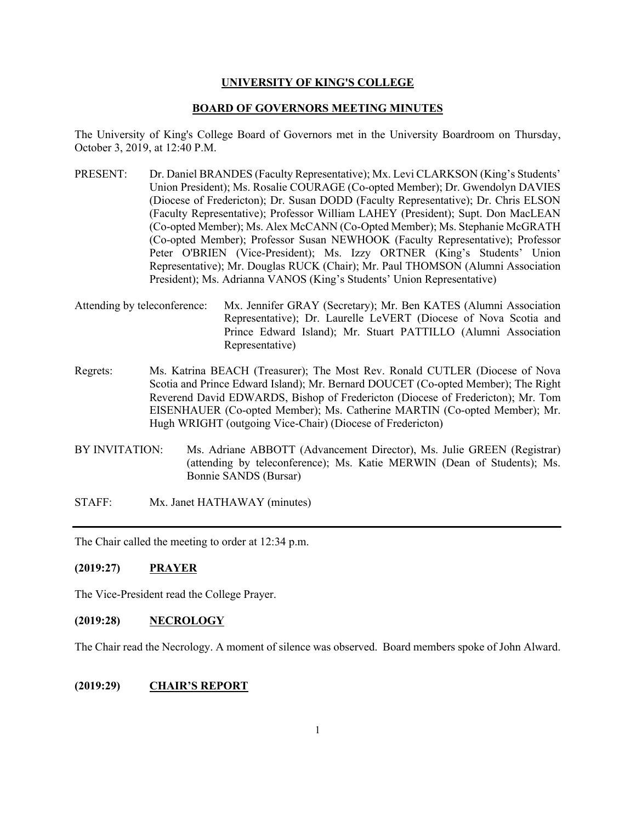### **UNIVERSITY OF KING'S COLLEGE**

#### **BOARD OF GOVERNORS MEETING MINUTES**

The University of King's College Board of Governors met in the University Boardroom on Thursday, October 3, 2019, at 12:40 P.M.

- PRESENT: Dr. Daniel BRANDES (Faculty Representative); Mx. Levi CLARKSON (King's Students' Union President); Ms. Rosalie COURAGE (Co-opted Member); Dr. Gwendolyn DAVIES (Diocese of Fredericton); Dr. Susan DODD (Faculty Representative); Dr. Chris ELSON (Faculty Representative); Professor William LAHEY (President); Supt. Don MacLEAN (Co-opted Member); Ms. Alex McCANN (Co-Opted Member); Ms. Stephanie McGRATH (Co-opted Member); Professor Susan NEWHOOK (Faculty Representative); Professor Peter O'BRIEN (Vice-President); Ms. Izzy ORTNER (King's Students' Union Representative); Mr. Douglas RUCK (Chair); Mr. Paul THOMSON (Alumni Association President); Ms. Adrianna VANOS (King's Students' Union Representative)
- Attending by teleconference: Mx. Jennifer GRAY (Secretary); Mr. Ben KATES (Alumni Association Representative); Dr. Laurelle LeVERT (Diocese of Nova Scotia and Prince Edward Island); Mr. Stuart PATTILLO (Alumni Association Representative)
- Regrets: Ms. Katrina BEACH (Treasurer); The Most Rev. Ronald CUTLER (Diocese of Nova Scotia and Prince Edward Island); Mr. Bernard DOUCET (Co-opted Member); The Right Reverend David EDWARDS, Bishop of Fredericton (Diocese of Fredericton); Mr. Tom EISENHAUER (Co-opted Member); Ms. Catherine MARTIN (Co-opted Member); Mr. Hugh WRIGHT (outgoing Vice-Chair) (Diocese of Fredericton)
- BY INVITATION: Ms. Adriane ABBOTT (Advancement Director), Ms. Julie GREEN (Registrar) (attending by teleconference); Ms. Katie MERWIN (Dean of Students); Ms. Bonnie SANDS (Bursar)
- STAFF: Mx. Janet HATHAWAY (minutes)

The Chair called the meeting to order at 12:34 p.m.

### **(2019:27) PRAYER**

The Vice-President read the College Prayer.

#### **(2019:28) NECROLOGY**

The Chair read the Necrology. A moment of silence was observed. Board members spoke of John Alward.

### **(2019:29) CHAIR'S REPORT**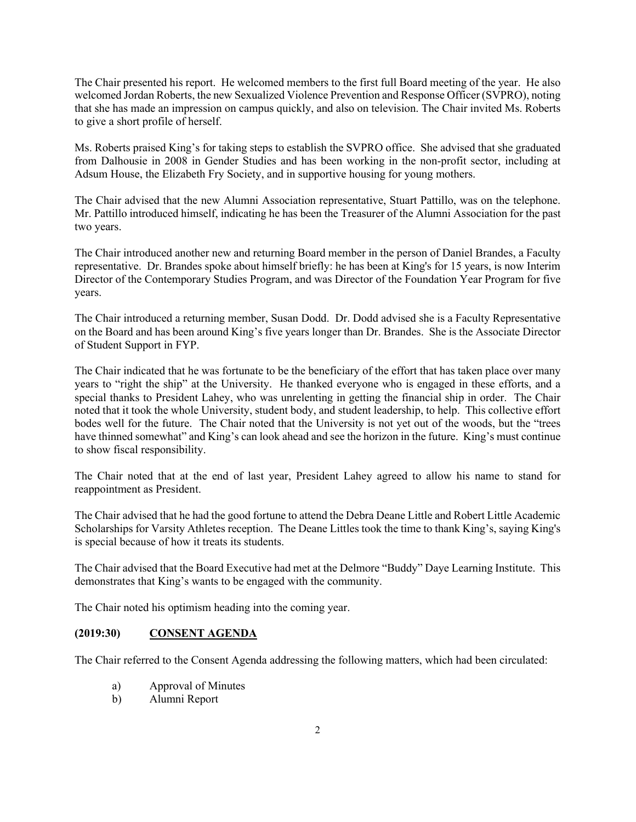The Chair presented his report. He welcomed members to the first full Board meeting of the year. He also welcomed Jordan Roberts, the new Sexualized Violence Prevention and Response Officer (SVPRO), noting that she has made an impression on campus quickly, and also on television. The Chair invited Ms. Roberts to give a short profile of herself.

Ms. Roberts praised King's for taking steps to establish the SVPRO office. She advised that she graduated from Dalhousie in 2008 in Gender Studies and has been working in the non-profit sector, including at Adsum House, the Elizabeth Fry Society, and in supportive housing for young mothers.

The Chair advised that the new Alumni Association representative, Stuart Pattillo, was on the telephone. Mr. Pattillo introduced himself, indicating he has been the Treasurer of the Alumni Association for the past two years.

The Chair introduced another new and returning Board member in the person of Daniel Brandes, a Faculty representative. Dr. Brandes spoke about himself briefly: he has been at King's for 15 years, is now Interim Director of the Contemporary Studies Program, and was Director of the Foundation Year Program for five years.

The Chair introduced a returning member, Susan Dodd. Dr. Dodd advised she is a Faculty Representative on the Board and has been around King's five years longer than Dr. Brandes. She is the Associate Director of Student Support in FYP.

The Chair indicated that he was fortunate to be the beneficiary of the effort that has taken place over many years to "right the ship" at the University. He thanked everyone who is engaged in these efforts, and a special thanks to President Lahey, who was unrelenting in getting the financial ship in order. The Chair noted that it took the whole University, student body, and student leadership, to help. This collective effort bodes well for the future. The Chair noted that the University is not yet out of the woods, but the "trees have thinned somewhat" and King's can look ahead and see the horizon in the future. King's must continue to show fiscal responsibility.

The Chair noted that at the end of last year, President Lahey agreed to allow his name to stand for reappointment as President.

The Chair advised that he had the good fortune to attend the Debra Deane Little and Robert Little Academic Scholarships for Varsity Athletes reception. The Deane Littles took the time to thank King's, saying King's is special because of how it treats its students.

The Chair advised that the Board Executive had met at the Delmore "Buddy" Daye Learning Institute. This demonstrates that King's wants to be engaged with the community.

The Chair noted his optimism heading into the coming year.

## **(2019:30) CONSENT AGENDA**

The Chair referred to the Consent Agenda addressing the following matters, which had been circulated:

- a) Approval of Minutes
- b) Alumni Report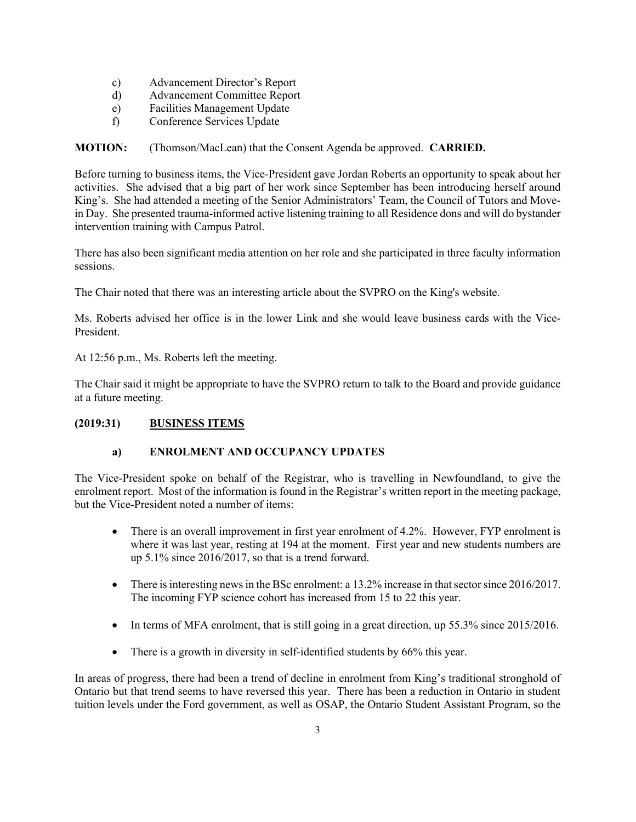- c) Advancement Director's Report
- d) Advancement Committee Report
- e) Facilities Management Update
- f) Conference Services Update

**MOTION:** (Thomson/MacLean) that the Consent Agenda be approved. **CARRIED.**

Before turning to business items, the Vice-President gave Jordan Roberts an opportunity to speak about her activities. She advised that a big part of her work since September has been introducing herself around King's. She had attended a meeting of the Senior Administrators' Team, the Council of Tutors and Movein Day. She presented trauma-informed active listening training to all Residence dons and will do bystander intervention training with Campus Patrol.

There has also been significant media attention on her role and she participated in three faculty information sessions.

The Chair noted that there was an interesting article about the SVPRO on the King's website.

Ms. Roberts advised her office is in the lower Link and she would leave business cards with the Vice-President.

At 12:56 p.m., Ms. Roberts left the meeting.

The Chair said it might be appropriate to have the SVPRO return to talk to the Board and provide guidance at a future meeting.

### **(2019:31) BUSINESS ITEMS**

# **a) ENROLMENT AND OCCUPANCY UPDATES**

The Vice-President spoke on behalf of the Registrar, who is travelling in Newfoundland, to give the enrolment report. Most of the information is found in the Registrar's written report in the meeting package, but the Vice-President noted a number of items:

- There is an overall improvement in first year enrolment of 4.2%. However, FYP enrolment is where it was last year, resting at 194 at the moment. First year and new students numbers are up 5.1% since 2016/2017, so that is a trend forward.
- There is interesting news in the BSc enrolment: a 13.2% increase in that sector since 2016/2017. The incoming FYP science cohort has increased from 15 to 22 this year.
- In terms of MFA enrolment, that is still going in a great direction, up 55.3% since 2015/2016.
- There is a growth in diversity in self-identified students by 66% this year.

In areas of progress, there had been a trend of decline in enrolment from King's traditional stronghold of Ontario but that trend seems to have reversed this year. There has been a reduction in Ontario in student tuition levels under the Ford government, as well as OSAP, the Ontario Student Assistant Program, so the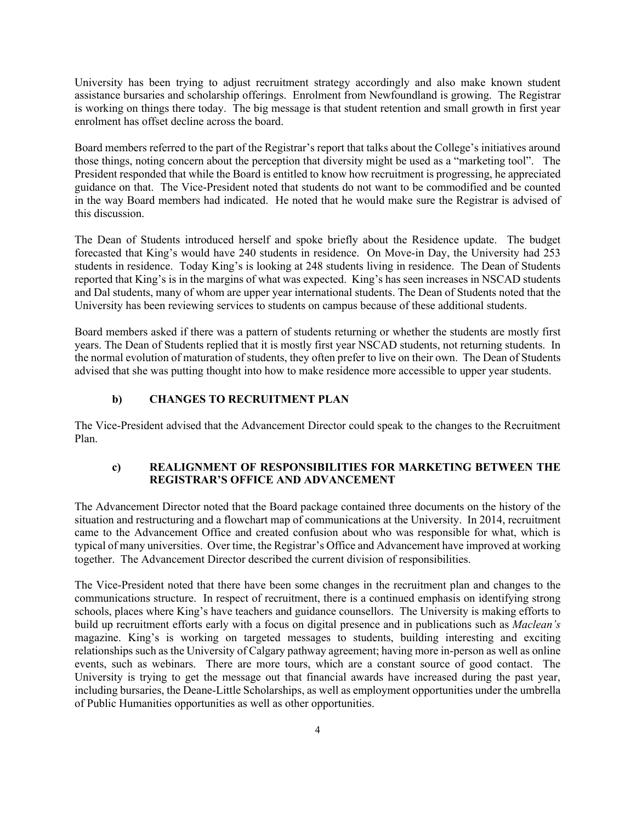University has been trying to adjust recruitment strategy accordingly and also make known student assistance bursaries and scholarship offerings. Enrolment from Newfoundland is growing. The Registrar is working on things there today. The big message is that student retention and small growth in first year enrolment has offset decline across the board.

Board members referred to the part of the Registrar's report that talks about the College's initiatives around those things, noting concern about the perception that diversity might be used as a "marketing tool". The President responded that while the Board is entitled to know how recruitment is progressing, he appreciated guidance on that. The Vice-President noted that students do not want to be commodified and be counted in the way Board members had indicated. He noted that he would make sure the Registrar is advised of this discussion.

The Dean of Students introduced herself and spoke briefly about the Residence update. The budget forecasted that King's would have 240 students in residence. On Move-in Day, the University had 253 students in residence. Today King's is looking at 248 students living in residence. The Dean of Students reported that King's is in the margins of what was expected. King's has seen increases in NSCAD students and Dal students, many of whom are upper year international students. The Dean of Students noted that the University has been reviewing services to students on campus because of these additional students.

Board members asked if there was a pattern of students returning or whether the students are mostly first years. The Dean of Students replied that it is mostly first year NSCAD students, not returning students. In the normal evolution of maturation of students, they often prefer to live on their own. The Dean of Students advised that she was putting thought into how to make residence more accessible to upper year students.

### **b) CHANGES TO RECRUITMENT PLAN**

The Vice-President advised that the Advancement Director could speak to the changes to the Recruitment Plan.

#### **c) REALIGNMENT OF RESPONSIBILITIES FOR MARKETING BETWEEN THE REGISTRAR'S OFFICE AND ADVANCEMENT**

The Advancement Director noted that the Board package contained three documents on the history of the situation and restructuring and a flowchart map of communications at the University. In 2014, recruitment came to the Advancement Office and created confusion about who was responsible for what, which is typical of many universities. Over time, the Registrar's Office and Advancement have improved at working together. The Advancement Director described the current division of responsibilities.

The Vice-President noted that there have been some changes in the recruitment plan and changes to the communications structure. In respect of recruitment, there is a continued emphasis on identifying strong schools, places where King's have teachers and guidance counsellors. The University is making efforts to build up recruitment efforts early with a focus on digital presence and in publications such as *Maclean's* magazine. King's is working on targeted messages to students, building interesting and exciting relationships such as the University of Calgary pathway agreement; having more in-person as well as online events, such as webinars. There are more tours, which are a constant source of good contact. The University is trying to get the message out that financial awards have increased during the past year, including bursaries, the Deane-Little Scholarships, as well as employment opportunities under the umbrella of Public Humanities opportunities as well as other opportunities.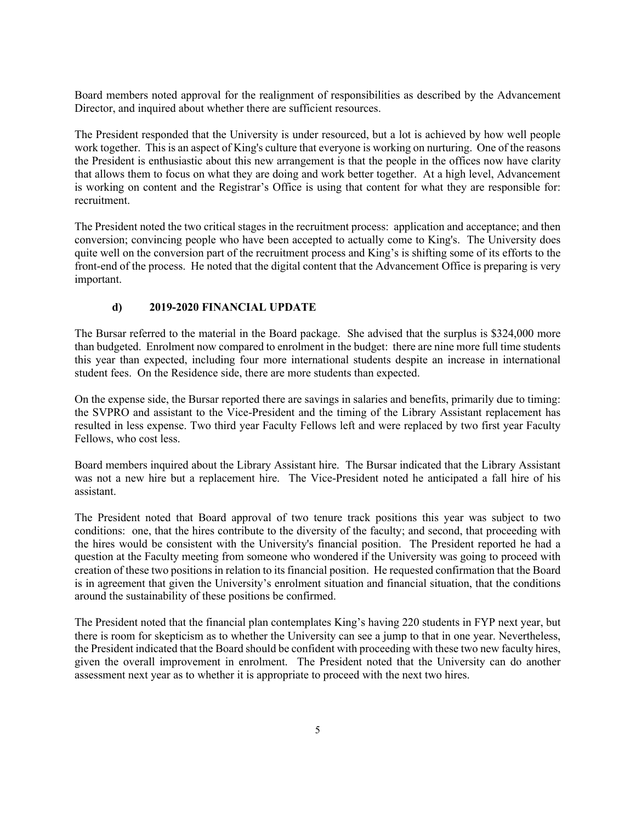Board members noted approval for the realignment of responsibilities as described by the Advancement Director, and inquired about whether there are sufficient resources.

The President responded that the University is under resourced, but a lot is achieved by how well people work together. This is an aspect of King's culture that everyone is working on nurturing. One of the reasons the President is enthusiastic about this new arrangement is that the people in the offices now have clarity that allows them to focus on what they are doing and work better together. At a high level, Advancement is working on content and the Registrar's Office is using that content for what they are responsible for: recruitment.

The President noted the two critical stages in the recruitment process: application and acceptance; and then conversion; convincing people who have been accepted to actually come to King's. The University does quite well on the conversion part of the recruitment process and King's is shifting some of its efforts to the front-end of the process. He noted that the digital content that the Advancement Office is preparing is very important.

## **d) 2019-2020 FINANCIAL UPDATE**

The Bursar referred to the material in the Board package. She advised that the surplus is \$324,000 more than budgeted. Enrolment now compared to enrolment in the budget: there are nine more full time students this year than expected, including four more international students despite an increase in international student fees. On the Residence side, there are more students than expected.

On the expense side, the Bursar reported there are savings in salaries and benefits, primarily due to timing: the SVPRO and assistant to the Vice-President and the timing of the Library Assistant replacement has resulted in less expense. Two third year Faculty Fellows left and were replaced by two first year Faculty Fellows, who cost less.

Board members inquired about the Library Assistant hire. The Bursar indicated that the Library Assistant was not a new hire but a replacement hire. The Vice-President noted he anticipated a fall hire of his assistant.

The President noted that Board approval of two tenure track positions this year was subject to two conditions: one, that the hires contribute to the diversity of the faculty; and second, that proceeding with the hires would be consistent with the University's financial position. The President reported he had a question at the Faculty meeting from someone who wondered if the University was going to proceed with creation of these two positions in relation to its financial position. He requested confirmation that the Board is in agreement that given the University's enrolment situation and financial situation, that the conditions around the sustainability of these positions be confirmed.

The President noted that the financial plan contemplates King's having 220 students in FYP next year, but there is room for skepticism as to whether the University can see a jump to that in one year. Nevertheless, the President indicated that the Board should be confident with proceeding with these two new faculty hires, given the overall improvement in enrolment. The President noted that the University can do another assessment next year as to whether it is appropriate to proceed with the next two hires.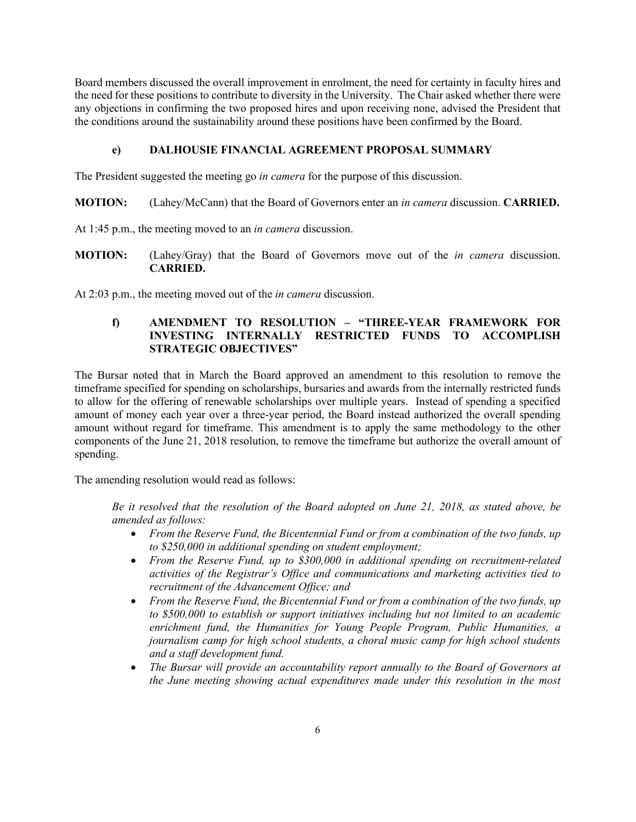Board members discussed the overall improvement in enrolment, the need for certainty in faculty hires and the need for these positions to contribute to diversity in the University. The Chair asked whether there were any objections in confirming the two proposed hires and upon receiving none, advised the President that the conditions around the sustainability around these positions have been confirmed by the Board.

### **e) DALHOUSIE FINANCIAL AGREEMENT PROPOSAL SUMMARY**

The President suggested the meeting go *in camera* for the purpose of this discussion.

- **MOTION:** (Lahey/McCann) that the Board of Governors enter an *in camera* discussion. **CARRIED.**
- At 1:45 p.m., the meeting moved to an *in camera* discussion.
- **MOTION:** (Lahey/Gray) that the Board of Governors move out of the *in camera* discussion. **CARRIED.**

At 2:03 p.m., the meeting moved out of the *in camera* discussion.

### **f) AMENDMENT TO RESOLUTION – "THREE-YEAR FRAMEWORK FOR INVESTING INTERNALLY RESTRICTED FUNDS TO ACCOMPLISH STRATEGIC OBJECTIVES"**

The Bursar noted that in March the Board approved an amendment to this resolution to remove the timeframe specified for spending on scholarships, bursaries and awards from the internally restricted funds to allow for the offering of renewable scholarships over multiple years. Instead of spending a specified amount of money each year over a three-year period, the Board instead authorized the overall spending amount without regard for timeframe. This amendment is to apply the same methodology to the other components of the June 21, 2018 resolution, to remove the timeframe but authorize the overall amount of spending.

The amending resolution would read as follows:

*Be it resolved that the resolution of the Board adopted on June 21, 2018, as stated above, be amended as follows:* 

- *From the Reserve Fund, the Bicentennial Fund or from a combination of the two funds, up to \$250,000 in additional spending on student employment;*
- *From the Reserve Fund, up to \$300,000 in additional spending on recruitment‐related activities of the Registrar's Office and communications and marketing activities tied to recruitment of the Advancement Office; and*
- *From the Reserve Fund, the Bicentennial Fund or from a combination of the two funds, up to \$500,000 to establish or support initiatives including but not limited to an academic enrichment fund, the Humanities for Young People Program, Public Humanities, a journalism camp for high school students, a choral music camp for high school students and a staff development fund.*
- *The Bursar will provide an accountability report annually to the Board of Governors at the June meeting showing actual expenditures made under this resolution in the most*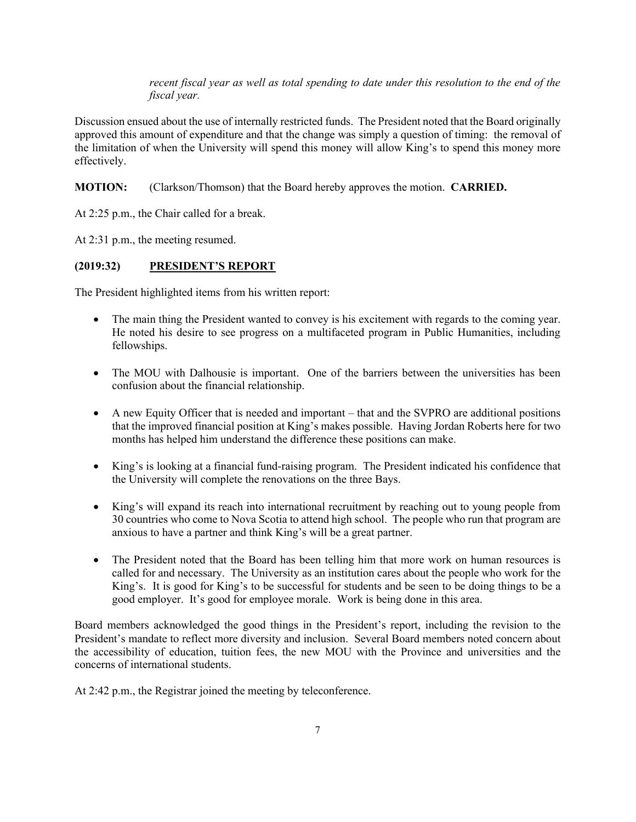*recent fiscal year as well as total spending to date under this resolution to the end of the fiscal year.* 

Discussion ensued about the use of internally restricted funds. The President noted that the Board originally approved this amount of expenditure and that the change was simply a question of timing: the removal of the limitation of when the University will spend this money will allow King's to spend this money more effectively.

### **MOTION:** (Clarkson/Thomson) that the Board hereby approves the motion. **CARRIED.**

At 2:25 p.m., the Chair called for a break.

At 2:31 p.m., the meeting resumed.

## **(2019:32) PRESIDENT'S REPORT**

The President highlighted items from his written report:

- The main thing the President wanted to convey is his excitement with regards to the coming year. He noted his desire to see progress on a multifaceted program in Public Humanities, including fellowships.
- The MOU with Dalhousie is important. One of the barriers between the universities has been confusion about the financial relationship.
- A new Equity Officer that is needed and important that and the SVPRO are additional positions that the improved financial position at King's makes possible. Having Jordan Roberts here for two months has helped him understand the difference these positions can make.
- King's is looking at a financial fund-raising program. The President indicated his confidence that the University will complete the renovations on the three Bays.
- King's will expand its reach into international recruitment by reaching out to young people from 30 countries who come to Nova Scotia to attend high school. The people who run that program are anxious to have a partner and think King's will be a great partner.
- The President noted that the Board has been telling him that more work on human resources is called for and necessary. The University as an institution cares about the people who work for the King's. It is good for King's to be successful for students and be seen to be doing things to be a good employer. It's good for employee morale. Work is being done in this area.

Board members acknowledged the good things in the President's report, including the revision to the President's mandate to reflect more diversity and inclusion. Several Board members noted concern about the accessibility of education, tuition fees, the new MOU with the Province and universities and the concerns of international students.

At 2:42 p.m., the Registrar joined the meeting by teleconference.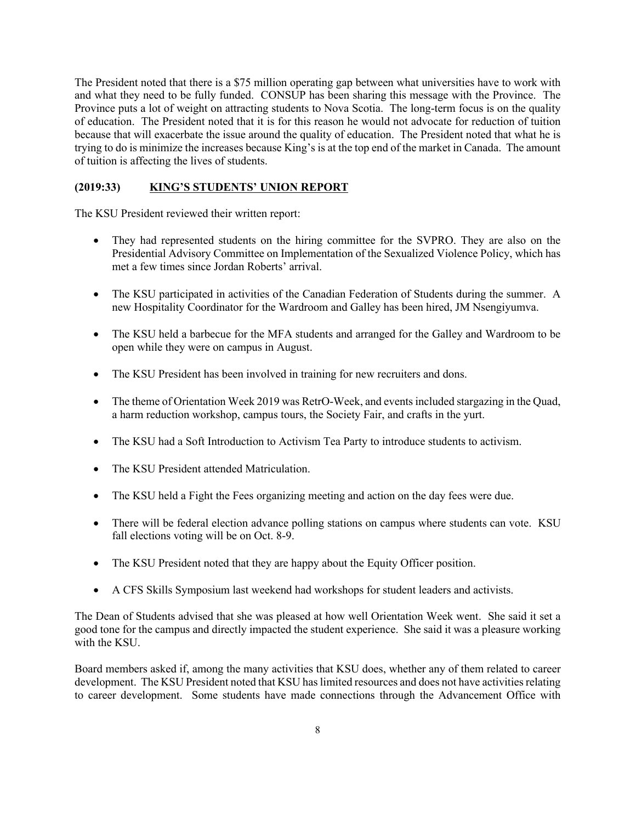The President noted that there is a \$75 million operating gap between what universities have to work with and what they need to be fully funded. CONSUP has been sharing this message with the Province. The Province puts a lot of weight on attracting students to Nova Scotia. The long-term focus is on the quality of education. The President noted that it is for this reason he would not advocate for reduction of tuition because that will exacerbate the issue around the quality of education. The President noted that what he is trying to do is minimize the increases because King's is at the top end of the market in Canada. The amount of tuition is affecting the lives of students.

### **(2019:33) KING'S STUDENTS' UNION REPORT**

The KSU President reviewed their written report:

- They had represented students on the hiring committee for the SVPRO. They are also on the Presidential Advisory Committee on Implementation of the Sexualized Violence Policy, which has met a few times since Jordan Roberts' arrival.
- The KSU participated in activities of the Canadian Federation of Students during the summer. A new Hospitality Coordinator for the Wardroom and Galley has been hired, JM Nsengiyumva.
- The KSU held a barbecue for the MFA students and arranged for the Galley and Wardroom to be open while they were on campus in August.
- The KSU President has been involved in training for new recruiters and dons.
- The theme of Orientation Week 2019 was RetrO-Week, and events included stargazing in the Ouad, a harm reduction workshop, campus tours, the Society Fair, and crafts in the yurt.
- The KSU had a Soft Introduction to Activism Tea Party to introduce students to activism.
- The KSU President attended Matriculation.
- The KSU held a Fight the Fees organizing meeting and action on the day fees were due.
- There will be federal election advance polling stations on campus where students can vote. KSU fall elections voting will be on Oct. 8-9.
- The KSU President noted that they are happy about the Equity Officer position.
- A CFS Skills Symposium last weekend had workshops for student leaders and activists.

The Dean of Students advised that she was pleased at how well Orientation Week went. She said it set a good tone for the campus and directly impacted the student experience. She said it was a pleasure working with the KSU.

Board members asked if, among the many activities that KSU does, whether any of them related to career development. The KSU President noted that KSU has limited resources and does not have activities relating to career development. Some students have made connections through the Advancement Office with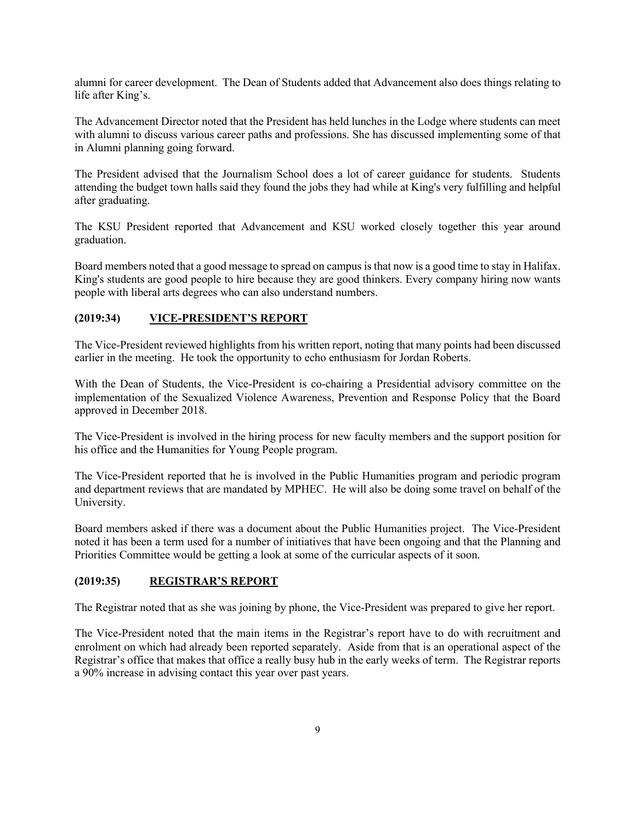alumni for career development. The Dean of Students added that Advancement also does things relating to life after King's.

The Advancement Director noted that the President has held lunches in the Lodge where students can meet with alumni to discuss various career paths and professions. She has discussed implementing some of that in Alumni planning going forward.

The President advised that the Journalism School does a lot of career guidance for students. Students attending the budget town halls said they found the jobs they had while at King's very fulfilling and helpful after graduating.

The KSU President reported that Advancement and KSU worked closely together this year around graduation.

Board members noted that a good message to spread on campus is that now is a good time to stay in Halifax. King's students are good people to hire because they are good thinkers. Every company hiring now wants people with liberal arts degrees who can also understand numbers.

#### **(2019:34) VICE-PRESIDENT'S REPORT**

The Vice-President reviewed highlights from his written report, noting that many points had been discussed earlier in the meeting. He took the opportunity to echo enthusiasm for Jordan Roberts.

With the Dean of Students, the Vice-President is co-chairing a Presidential advisory committee on the implementation of the Sexualized Violence Awareness, Prevention and Response Policy that the Board approved in December 2018.

The Vice-President is involved in the hiring process for new faculty members and the support position for his office and the Humanities for Young People program.

The Vice-President reported that he is involved in the Public Humanities program and periodic program and department reviews that are mandated by MPHEC. He will also be doing some travel on behalf of the University.

Board members asked if there was a document about the Public Humanities project. The Vice-President noted it has been a term used for a number of initiatives that have been ongoing and that the Planning and Priorities Committee would be getting a look at some of the curricular aspects of it soon.

#### **(2019:35) REGISTRAR'S REPORT**

The Registrar noted that as she was joining by phone, the Vice-President was prepared to give her report.

The Vice-President noted that the main items in the Registrar's report have to do with recruitment and enrolment on which had already been reported separately. Aside from that is an operational aspect of the Registrar's office that makes that office a really busy hub in the early weeks of term. The Registrar reports a 90% increase in advising contact this year over past years.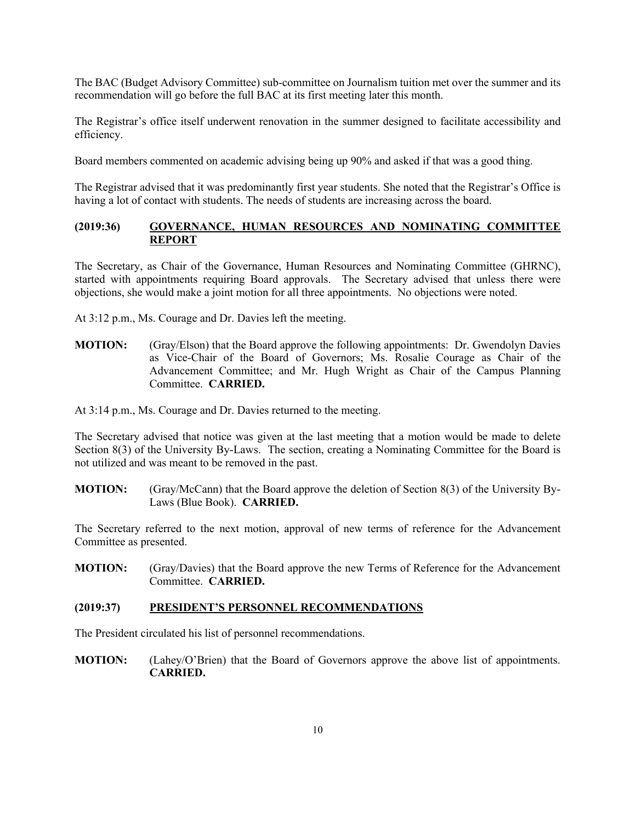The BAC (Budget Advisory Committee) sub-committee on Journalism tuition met over the summer and its recommendation will go before the full BAC at its first meeting later this month.

The Registrar's office itself underwent renovation in the summer designed to facilitate accessibility and efficiency.

Board members commented on academic advising being up 90% and asked if that was a good thing.

The Registrar advised that it was predominantly first year students. She noted that the Registrar's Office is having a lot of contact with students. The needs of students are increasing across the board.

#### **(2019:36) GOVERNANCE, HUMAN RESOURCES AND NOMINATING COMMITTEE REPORT**

The Secretary, as Chair of the Governance, Human Resources and Nominating Committee (GHRNC), started with appointments requiring Board approvals. The Secretary advised that unless there were objections, she would make a joint motion for all three appointments. No objections were noted.

At 3:12 p.m., Ms. Courage and Dr. Davies left the meeting.

**MOTION:** (Gray/Elson) that the Board approve the following appointments: Dr. Gwendolyn Davies as Vice-Chair of the Board of Governors; Ms. Rosalie Courage as Chair of the Advancement Committee; and Mr. Hugh Wright as Chair of the Campus Planning Committee. **CARRIED.**

At 3:14 p.m., Ms. Courage and Dr. Davies returned to the meeting.

The Secretary advised that notice was given at the last meeting that a motion would be made to delete Section 8(3) of the University By-Laws. The section, creating a Nominating Committee for the Board is not utilized and was meant to be removed in the past.

**MOTION:** (Gray/McCann) that the Board approve the deletion of Section 8(3) of the University By-Laws (Blue Book). **CARRIED.**

The Secretary referred to the next motion, approval of new terms of reference for the Advancement Committee as presented.

**MOTION:** (Gray/Davies) that the Board approve the new Terms of Reference for the Advancement Committee. **CARRIED.**

#### **(2019:37) PRESIDENT'S PERSONNEL RECOMMENDATIONS**

The President circulated his list of personnel recommendations.

**MOTION:** (Lahey/O'Brien) that the Board of Governors approve the above list of appointments. **CARRIED.**